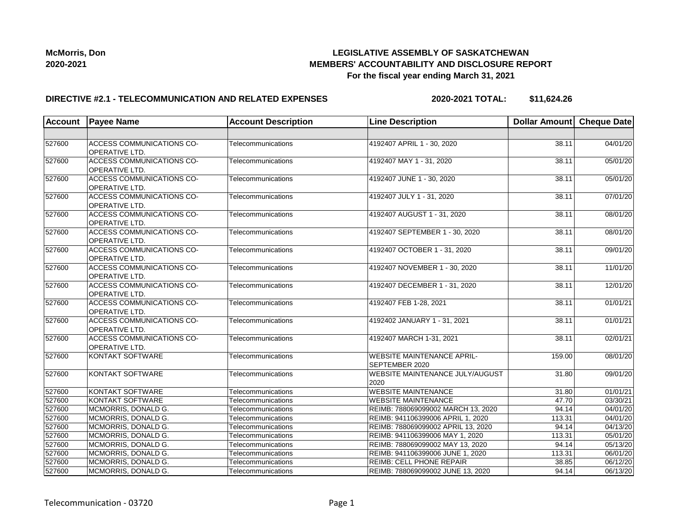

## **LEGISLATIVE ASSEMBLY OF SASKATCHEWAN MEMBERS' ACCOUNTABILITY AND DISCLOSURE REPORT For the fiscal year ending March 31, 2021**

### **DIRECTIVE #2.1 - TELECOMMUNICATION AND RELATED EXPENSES**

| <b>Account</b> | <b>Payee Name</b>                                         | <b>Account Description</b> | <b>Line Description</b>                             | Dollar Amount Cheque Date |          |
|----------------|-----------------------------------------------------------|----------------------------|-----------------------------------------------------|---------------------------|----------|
|                |                                                           |                            |                                                     |                           |          |
| 527600         | <b>ACCESS COMMUNICATIONS CO-</b><br><b>OPERATIVE LTD.</b> | Telecommunications         | 4192407 APRIL 1 - 30, 2020                          | 38.11                     | 04/01/20 |
| 527600         | <b>ACCESS COMMUNICATIONS CO-</b><br><b>OPERATIVE LTD.</b> | Telecommunications         | 4192407 MAY 1 - 31, 2020                            | 38.11                     | 05/01/20 |
| 527600         | <b>ACCESS COMMUNICATIONS CO-</b><br><b>OPERATIVE LTD.</b> | Telecommunications         | 4192407 JUNE 1 - 30, 2020                           | 38.11                     | 05/01/20 |
| 527600         | <b>ACCESS COMMUNICATIONS CO-</b><br><b>OPERATIVE LTD.</b> | Telecommunications         | 4192407 JULY 1 - 31, 2020                           | 38.11                     | 07/01/20 |
| 527600         | ACCESS COMMUNICATIONS CO-<br><b>OPERATIVE LTD.</b>        | Telecommunications         | 4192407 AUGUST 1 - 31, 2020                         | 38.11                     | 08/01/20 |
| 527600         | <b>ACCESS COMMUNICATIONS CO-</b><br> OPERATIVE LTD.       | Telecommunications         | 4192407 SEPTEMBER 1 - 30, 2020                      | 38.11                     | 08/01/20 |
| 527600         | <b>ACCESS COMMUNICATIONS CO-</b><br><b>OPERATIVE LTD.</b> | Telecommunications         | 4192407 OCTOBER 1 - 31, 2020                        | 38.11                     | 09/01/20 |
| 527600         | ACCESS COMMUNICATIONS CO-<br><b>OPERATIVE LTD.</b>        | Telecommunications         | 4192407 NOVEMBER 1 - 30, 2020                       | 38.11                     | 11/01/20 |
| 527600         | <b>ACCESS COMMUNICATIONS CO-</b><br><b>OPERATIVE LTD.</b> | Telecommunications         | 4192407 DECEMBER 1 - 31, 2020                       | 38.11                     | 12/01/20 |
| 527600         | <b>ACCESS COMMUNICATIONS CO-</b><br><b>OPERATIVE LTD.</b> | <b>Telecommunications</b>  | 4192407 FEB 1-28, 2021                              | 38.11                     | 01/01/21 |
| 527600         | ACCESS COMMUNICATIONS CO-<br>OPERATIVE LTD.               | Telecommunications         | 4192402 JANUARY 1 - 31, 2021                        | 38.11                     | 01/01/21 |
| 527600         | <b>ACCESS COMMUNICATIONS CO-</b><br>OPERATIVE LTD.        | Telecommunications         | 4192407 MARCH 1-31, 2021                            | 38.11                     | 02/01/21 |
| 527600         | KONTAKT SOFTWARE                                          | Telecommunications         | <b>WEBSITE MAINTENANCE APRIL-</b><br>SEPTEMBER 2020 | 159.00                    | 08/01/20 |
| 527600         | KONTAKT SOFTWARE                                          | <b>Telecommunications</b>  | WEBSITE MAINTENANCE JULY/AUGUST<br>2020             | 31.80                     | 09/01/20 |
| 527600         | KONTAKT SOFTWARE                                          | <b>Telecommunications</b>  | <b>WEBSITE MAINTENANCE</b>                          | 31.80                     | 01/01/21 |
| 527600         | KONTAKT SOFTWARE                                          | Telecommunications         | <b>WEBSITE MAINTENANCE</b>                          | 47.70                     | 03/30/21 |
| 527600         | MCMORRIS, DONALD G.                                       | Telecommunications         | REIMB: 788069099002 MARCH 13, 2020                  | 94.14                     | 04/01/20 |
| 527600         | MCMORRIS, DONALD G.                                       | Telecommunications         | REIMB: 941106399006 APRIL 1, 2020                   | 113.31                    | 04/01/20 |
| 527600         | MCMORRIS, DONALD G.                                       | Telecommunications         | REIMB: 788069099002 APRIL 13, 2020                  | 94.14                     | 04/13/20 |
| 527600         | MCMORRIS, DONALD G.                                       | <b>Telecommunications</b>  | REIMB: 941106399006 MAY 1, 2020                     | 113.31                    | 05/01/20 |
| 527600         | MCMORRIS, DONALD G.                                       | Telecommunications         | REIMB: 788069099002 MAY 13, 2020                    | 94.14                     | 05/13/20 |
| 527600         | MCMORRIS, DONALD G.                                       | Telecommunications         | REIMB: 941106399006 JUNE 1, 2020                    | 113.31                    | 06/01/20 |
| 527600         | MCMORRIS, DONALD G.                                       | Telecommunications         | REIMB: CELL PHONE REPAIR                            | 38.85                     | 06/12/20 |
| 527600         | MCMORRIS, DONALD G.                                       | Telecommunications         | REIMB: 788069099002 JUNE 13, 2020                   | 94.14                     | 06/13/20 |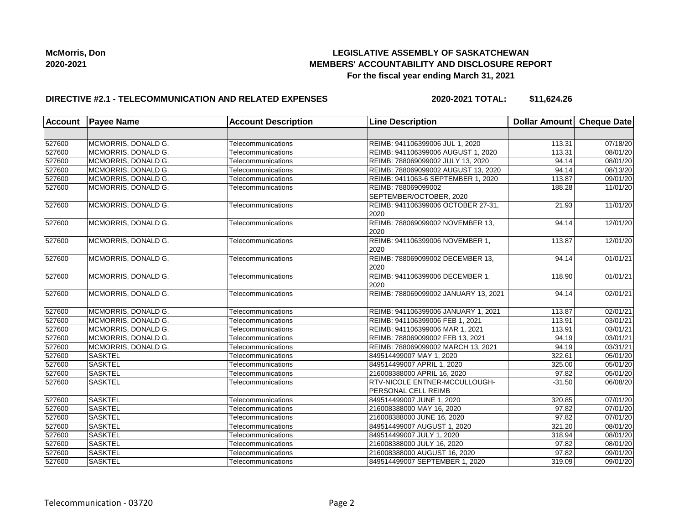## **LEGISLATIVE ASSEMBLY OF SASKATCHEWAN MEMBERS' ACCOUNTABILITY AND DISCLOSURE REPORT For the fiscal year ending March 31, 2021**

## **DIRECTIVE #2.1 - TELECOMMUNICATION AND RELATED EXPENSES**

| <b>Account</b> | <b>Payee Name</b>   | <b>Account Description</b> | <b>Line Description</b>                              | Dollar Amount Cheque Date |          |
|----------------|---------------------|----------------------------|------------------------------------------------------|---------------------------|----------|
|                |                     |                            |                                                      |                           |          |
| 527600         | MCMORRIS, DONALD G. | Telecommunications         | REIMB: 941106399006 JUL 1, 2020                      | 113.31                    | 07/18/20 |
| 527600         | MCMORRIS, DONALD G. | Telecommunications         | REIMB: 941106399006 AUGUST 1, 2020                   | 113.31                    | 08/01/20 |
| 527600         | MCMORRIS, DONALD G. | Telecommunications         | REIMB: 788069099002 JULY 13, 2020                    | 94.14                     | 08/01/20 |
| 527600         | MCMORRIS, DONALD G. | Telecommunications         | REIMB: 788069099002 AUGUST 13, 2020                  | 94.14                     | 08/13/20 |
| 527600         | MCMORRIS, DONALD G. | Telecommunications         | REIMB: 9411063-6 SEPTEMBER 1, 2020                   | 113.87                    | 09/01/20 |
| 527600         | MCMORRIS, DONALD G. | Telecommunications         | REIMB: 788069099002<br>SEPTEMBER/OCTOBER, 2020       | 188.28                    | 11/01/20 |
| 527600         | MCMORRIS, DONALD G. | Telecommunications         | REIMB: 941106399006 OCTOBER 27-31,<br>2020           | 21.93                     | 11/01/20 |
| 527600         | MCMORRIS, DONALD G. | Telecommunications         | REIMB: 788069099002 NOVEMBER 13,<br>2020             | 94.14                     | 12/01/20 |
| 527600         | MCMORRIS, DONALD G. | Telecommunications         | REIMB: 941106399006 NOVEMBER 1,<br>2020              | 113.87                    | 12/01/20 |
| 527600         | MCMORRIS, DONALD G. | Telecommunications         | REIMB: 788069099002 DECEMBER 13,<br>2020             | 94.14                     | 01/01/21 |
| 527600         | MCMORRIS, DONALD G. | Telecommunications         | REIMB: 941106399006 DECEMBER 1,<br>2020              | 118.90                    | 01/01/21 |
| 527600         | MCMORRIS, DONALD G. | Telecommunications         | REIMB: 788069099002 JANUARY 13, 2021                 | 94.14                     | 02/01/21 |
| 527600         | MCMORRIS, DONALD G. | Telecommunications         | REIMB: 941106399006 JANUARY 1, 2021                  | 113.87                    | 02/01/21 |
| 527600         | MCMORRIS, DONALD G. | Telecommunications         | REIMB: 941106399006 FEB 1, 2021                      | 113.91                    | 03/01/21 |
| 527600         | MCMORRIS, DONALD G. | Telecommunications         | REIMB: 941106399006 MAR 1, 2021                      | 113.91                    | 03/01/21 |
| 527600         | MCMORRIS, DONALD G. | Telecommunications         | REIMB: 788069099002 FEB 13, 2021                     | 94.19                     | 03/01/21 |
| 527600         | MCMORRIS, DONALD G. | Telecommunications         | REIMB: 788069099002 MARCH 13, 2021                   | 94.19                     | 03/31/21 |
| 527600         | <b>SASKTEL</b>      | Telecommunications         | 849514499007 MAY 1, 2020                             | 322.61                    | 05/01/20 |
| 527600         | <b>SASKTEL</b>      | Telecommunications         | 849514499007 APRIL 1, 2020                           | 325.00                    | 05/01/20 |
| 527600         | <b>SASKTEL</b>      | Telecommunications         | 216008388000 APRIL 16, 2020                          | 97.82                     | 05/01/20 |
| 527600         | <b>SASKTEL</b>      | Telecommunications         | RTV-NICOLE ENTNER-MCCULLOUGH-<br>PERSONAL CELL REIMB | $-31.50$                  | 06/08/20 |
| 527600         | <b>SASKTEL</b>      | Telecommunications         | 849514499007 JUNE 1, 2020                            | 320.85                    | 07/01/20 |
| 527600         | <b>SASKTEL</b>      | Telecommunications         | 216008388000 MAY 16, 2020                            | 97.82                     | 07/01/20 |
| 527600         | <b>SASKTEL</b>      | Telecommunications         | 216008388000 JUNE 16, 2020                           | 97.82                     | 07/01/20 |
| 527600         | <b>SASKTEL</b>      | Telecommunications         | 849514499007 AUGUST 1, 2020                          | 321.20                    | 08/01/20 |
| 527600         | <b>SASKTEL</b>      | Telecommunications         | 849514499007 JULY 1, 2020                            | 318.94                    | 08/01/20 |
| 527600         | <b>SASKTEL</b>      | Telecommunications         | 216008388000 JULY 16, 2020                           | 97.82                     | 08/01/20 |
| 527600         | <b>SASKTEL</b>      | Telecommunications         | 216008388000 AUGUST 16, 2020                         | 97.82                     | 09/01/20 |
| 527600         | <b>SASKTEL</b>      | Telecommunications         | 849514499007 SEPTEMBER 1, 2020                       | 319.09                    | 09/01/20 |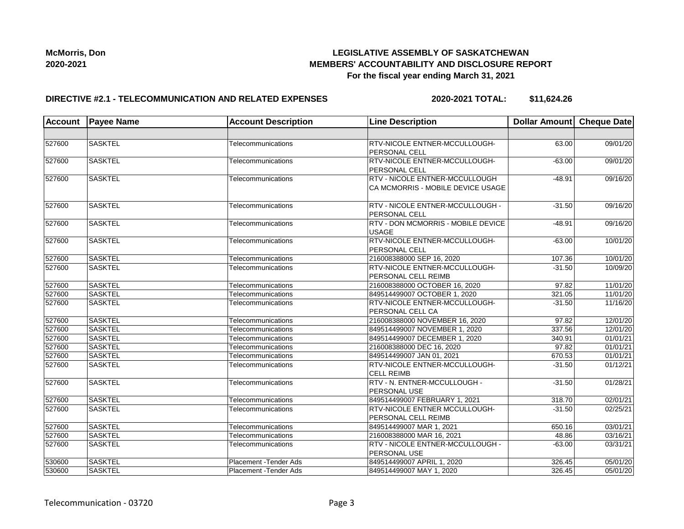## **LEGISLATIVE ASSEMBLY OF SASKATCHEWAN MEMBERS' ACCOUNTABILITY AND DISCLOSURE REPORT For the fiscal year ending March 31, 2021**

## **DIRECTIVE #2.1 - TELECOMMUNICATION AND RELATED EXPENSES**

| Account | <b>Payee Name</b> | <b>Account Description</b>    | <b>Line Description</b>                                             | Dollar Amount Cheque Date |          |
|---------|-------------------|-------------------------------|---------------------------------------------------------------------|---------------------------|----------|
|         |                   |                               |                                                                     |                           |          |
| 527600  | <b>SASKTEL</b>    | Telecommunications            | RTV-NICOLE ENTNER-MCCULLOUGH-<br><b>PERSONAL CELL</b>               | 63.00                     | 09/01/20 |
| 527600  | <b>SASKTEL</b>    | Telecommunications            | RTV-NICOLE ENTNER-MCCULLOUGH-<br><b>PERSONAL CELL</b>               | $-63.00$                  | 09/01/20 |
| 527600  | <b>SASKTEL</b>    | <b>Telecommunications</b>     | RTV - NICOLE ENTNER-MCCULLOUGH<br>CA MCMORRIS - MOBILE DEVICE USAGE | $-48.91$                  | 09/16/20 |
| 527600  | <b>SASKTEL</b>    | Telecommunications            | RTV - NICOLE ENTNER-MCCULLOUGH -<br><b>PERSONAL CELL</b>            | $-31.50$                  | 09/16/20 |
| 527600  | <b>SASKTEL</b>    | Telecommunications            | <b>RTV - DON MCMORRIS - MOBILE DEVICE</b><br><b>USAGE</b>           | $-48.91$                  | 09/16/20 |
| 527600  | <b>SASKTEL</b>    | <b>Telecommunications</b>     | RTV-NICOLE ENTNER-MCCULLOUGH-<br>PERSONAL CELL                      | $-63.00$                  | 10/01/20 |
| 527600  | <b>SASKTEL</b>    | Telecommunications            | 216008388000 SEP 16, 2020                                           | 107.36                    | 10/01/20 |
| 527600  | <b>SASKTEL</b>    | Telecommunications            | RTV-NICOLE ENTNER-MCCULLOUGH-<br>PERSONAL CELL REIMB                | $-31.50$                  | 10/09/20 |
| 527600  | <b>SASKTEL</b>    | Telecommunications            | 216008388000 OCTOBER 16, 2020                                       | 97.82                     | 11/01/20 |
| 527600  | <b>SASKTEL</b>    | Telecommunications            | 849514499007 OCTOBER 1, 2020                                        | 321.05                    | 11/01/20 |
| 527600  | <b>SASKTEL</b>    | Telecommunications            | <b>RTV-NICOLE ENTNER-MCCULLOUGH-</b><br>PERSONAL CELL CA            | $-31.50$                  | 11/16/20 |
| 527600  | <b>SASKTEL</b>    | Telecommunications            | 216008388000 NOVEMBER 16, 2020                                      | 97.82                     | 12/01/20 |
| 527600  | <b>SASKTEL</b>    | Telecommunications            | 849514499007 NOVEMBER 1, 2020                                       | 337.56                    | 12/01/20 |
| 527600  | <b>SASKTEL</b>    | Telecommunications            | 849514499007 DECEMBER 1, 2020                                       | 340.91                    | 01/01/21 |
| 527600  | <b>SASKTEL</b>    | Telecommunications            | 216008388000 DEC 16, 2020                                           | 97.82                     | 01/01/21 |
| 527600  | <b>SASKTEL</b>    | Telecommunications            | 849514499007 JAN 01, 2021                                           | 670.53                    | 01/01/21 |
| 527600  | <b>SASKTEL</b>    | Telecommunications            | RTV-NICOLE ENTNER-MCCULLOUGH-<br><b>CELL REIMB</b>                  | $-31.50$                  | 01/12/21 |
| 527600  | <b>SASKTEL</b>    | <b>Telecommunications</b>     | RTV - N. ENTNER-MCCULLOUGH -<br>PERSONAL USE                        | $-31.50$                  | 01/28/21 |
| 527600  | <b>SASKTEL</b>    | <b>Telecommunications</b>     | 849514499007 FEBRUARY 1, 2021                                       | 318.70                    | 02/01/21 |
| 527600  | <b>SASKTEL</b>    | <b>Telecommunications</b>     | <b>RTV-NICOLE ENTNER MCCULLOUGH-</b><br>PERSONAL CELL REIMB         | $-31.50$                  | 02/25/21 |
| 527600  | <b>SASKTEL</b>    | Telecommunications            | 849514499007 MAR 1, 2021                                            | 650.16                    | 03/01/21 |
| 527600  | <b>SASKTEL</b>    | Telecommunications            | 216008388000 MAR 16, 2021                                           | 48.86                     | 03/16/21 |
| 527600  | <b>SASKTEL</b>    | Telecommunications            | <b>RTV - NICOLE ENTNER-MCCULLOUGH -</b><br>PERSONAL USE             | $-63.00$                  | 03/31/21 |
| 530600  | <b>SASKTEL</b>    | <b>Placement - Tender Ads</b> | 849514499007 APRIL 1, 2020                                          | 326.45                    | 05/01/20 |
| 530600  | <b>SASKTEL</b>    | Placement - Tender Ads        | 849514499007 MAY 1, 2020                                            | 326.45                    | 05/01/20 |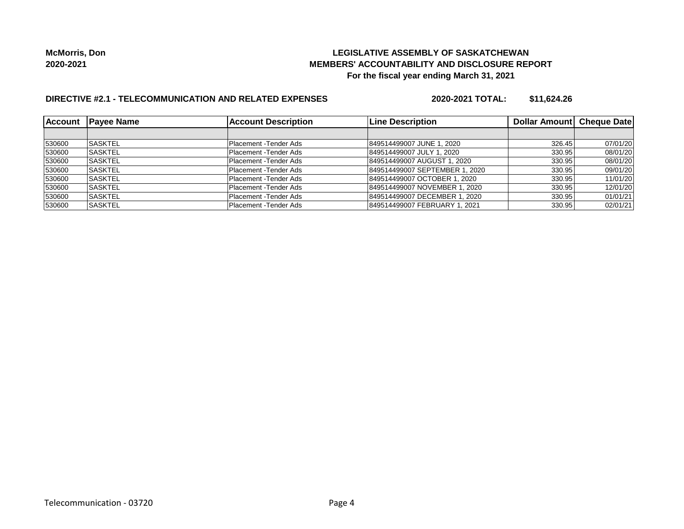## **LEGISLATIVE ASSEMBLY OF SASKATCHEWAN MEMBERS' ACCOUNTABILITY AND DISCLOSURE REPORT For the fiscal year ending March 31, 2021**

# **DIRECTIVE #2.1 - TELECOMMUNICATION AND RELATED EXPENSES**

|        | Account   Payee Name | <b>Account Description</b> | <b>Line Description</b>        | Dollar Amount   Cheque Date |          |
|--------|----------------------|----------------------------|--------------------------------|-----------------------------|----------|
|        |                      |                            |                                |                             |          |
| 530600 | ISASKTEL             | Placement - Tender Ads     | 849514499007 JUNE 1, 2020      | 326.45                      | 07/01/20 |
| 530600 | ISASKTEL             | Placement - Tender Ads     | 849514499007 JULY 1, 2020      | 330.95                      | 08/01/20 |
| 530600 | ISASKTEL             | Placement - Tender Ads     | 849514499007 AUGUST 1, 2020    | 330.95                      | 08/01/20 |
| 530600 | <b>SASKTEL</b>       | Placement - Tender Ads     | 849514499007 SEPTEMBER 1, 2020 | 330.95                      | 09/01/20 |
| 530600 | ISASKTEL             | Placement - Tender Ads     | 849514499007 OCTOBER 1, 2020   | 330.95                      | 11/01/20 |
| 530600 | <b>ISASKTEL</b>      | Placement - Tender Ads     | 849514499007 NOVEMBER 1, 2020  | 330.95                      | 12/01/20 |
| 530600 | ISASKTEL             | Placement - Tender Ads     | 849514499007 DECEMBER 1, 2020  | 330.95                      | 01/01/21 |
| 530600 | ISASKTEL             | Placement - Tender Ads     | 849514499007 FEBRUARY 1, 2021  | 330.95                      | 02/01/21 |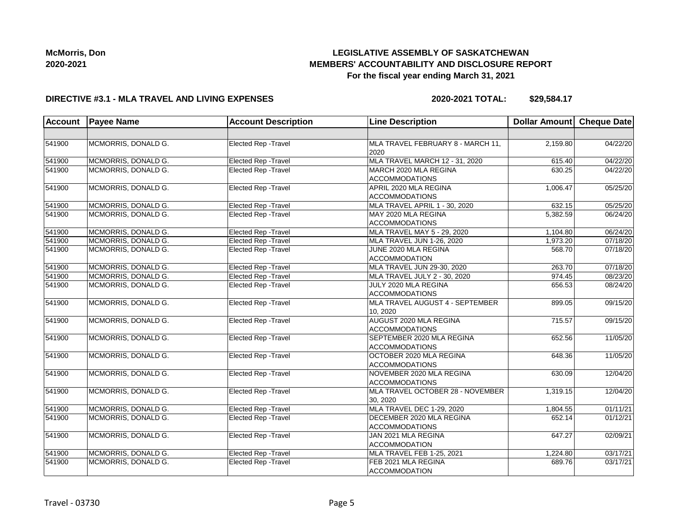# **LEGISLATIVE ASSEMBLY OF SASKATCHEWAN MEMBERS' ACCOUNTABILITY AND DISCLOSURE REPORT For the fiscal year ending March 31, 2021**

#### **DIRECTIVE #3.1 - MLA TRAVEL AND LIVING EXPENSES**

**2020-2021 TOTAL: \$29,584.17**

| <b>Account</b> | <b>Payee Name</b>   | <b>Account Description</b>  | <b>Line Description</b>                            | Dollar Amount Cheque Date |          |
|----------------|---------------------|-----------------------------|----------------------------------------------------|---------------------------|----------|
|                |                     |                             |                                                    |                           |          |
| 541900         | MCMORRIS, DONALD G. | Elected Rep - Travel        | MLA TRAVEL FEBRUARY 8 - MARCH 11,<br>2020          | 2,159.80                  | 04/22/20 |
| 541900         | MCMORRIS, DONALD G. | <b>Elected Rep - Travel</b> | MLA TRAVEL MARCH 12 - 31, 2020                     | 615.40                    | 04/22/20 |
| 541900         | MCMORRIS, DONALD G. | <b>Elected Rep - Travel</b> | MARCH 2020 MLA REGINA<br><b>ACCOMMODATIONS</b>     | 630.25                    | 04/22/20 |
| 541900         | MCMORRIS, DONALD G. | Elected Rep - Travel        | APRIL 2020 MLA REGINA<br><b>ACCOMMODATIONS</b>     | 1,006.47                  | 05/25/20 |
| 541900         | MCMORRIS, DONALD G. | Elected Rep - Travel        | MLA TRAVEL APRIL 1 - 30, 2020                      | 632.15                    | 05/25/20 |
| 541900         | MCMORRIS, DONALD G. | <b>Elected Rep - Travel</b> | MAY 2020 MLA REGINA<br><b>ACCOMMODATIONS</b>       | 5,382.59                  | 06/24/20 |
| 541900         | MCMORRIS, DONALD G. | Elected Rep - Travel        | <b>MLA TRAVEL MAY 5 - 29, 2020</b>                 | 1,104.80                  | 06/24/20 |
| 541900         | MCMORRIS, DONALD G. | Elected Rep - Travel        | MLA TRAVEL JUN 1-26, 2020                          | 1,973.20                  | 07/18/20 |
| 541900         | MCMORRIS, DONALD G. | Elected Rep - Travel        | JUNE 2020 MLA REGINA<br><b>ACCOMMODATION</b>       | 568.70                    | 07/18/20 |
| 541900         | MCMORRIS, DONALD G. | Elected Rep - Travel        | MLA TRAVEL JUN 29-30, 2020                         | 263.70                    | 07/18/20 |
| 541900         | MCMORRIS, DONALD G. | <b>Elected Rep - Travel</b> | MLA TRAVEL JULY 2 - 30, 2020                       | 974.45                    | 08/23/20 |
| 541900         | MCMORRIS, DONALD G. | Elected Rep - Travel        | JULY 2020 MLA REGINA<br><b>ACCOMMODATIONS</b>      | 656.53                    | 08/24/20 |
| 541900         | MCMORRIS, DONALD G. | Elected Rep - Travel        | MLA TRAVEL AUGUST 4 - SEPTEMBER<br>10, 2020        | 899.05                    | 09/15/20 |
| 541900         | MCMORRIS, DONALD G. | Elected Rep - Travel        | AUGUST 2020 MLA REGINA<br><b>ACCOMMODATIONS</b>    | 715.57                    | 09/15/20 |
| 541900         | MCMORRIS, DONALD G. | Elected Rep - Travel        | SEPTEMBER 2020 MLA REGINA<br><b>ACCOMMODATIONS</b> | 652.56                    | 11/05/20 |
| 541900         | MCMORRIS, DONALD G. | Elected Rep - Travel        | OCTOBER 2020 MLA REGINA<br><b>ACCOMMODATIONS</b>   | 648.36                    | 11/05/20 |
| 541900         | MCMORRIS, DONALD G. | Elected Rep - Travel        | NOVEMBER 2020 MLA REGINA<br><b>ACCOMMODATIONS</b>  | 630.09                    | 12/04/20 |
| 541900         | MCMORRIS, DONALD G. | Elected Rep - Travel        | MLA TRAVEL OCTOBER 28 - NOVEMBER<br>30, 2020       | 1,319.15                  | 12/04/20 |
| 541900         | MCMORRIS, DONALD G. | <b>Elected Rep - Travel</b> | MLA TRAVEL DEC 1-29, 2020                          | 1,804.55                  | 01/11/21 |
| 541900         | MCMORRIS, DONALD G. | Elected Rep - Travel        | DECEMBER 2020 MLA REGINA<br><b>ACCOMMODATIONS</b>  | 652.14                    | 01/12/21 |
| 541900         | MCMORRIS, DONALD G. | Elected Rep - Travel        | JAN 2021 MLA REGINA<br><b>ACCOMMODATION</b>        | 647.27                    | 02/09/21 |
| 541900         | MCMORRIS, DONALD G. | Elected Rep - Travel        | MLA TRAVEL FEB 1-25, 2021                          | 1,224.80                  | 03/17/21 |
| 541900         | MCMORRIS, DONALD G. | Elected Rep - Travel        | FEB 2021 MLA REGINA<br><b>ACCOMMODATION</b>        | 689.76                    | 03/17/21 |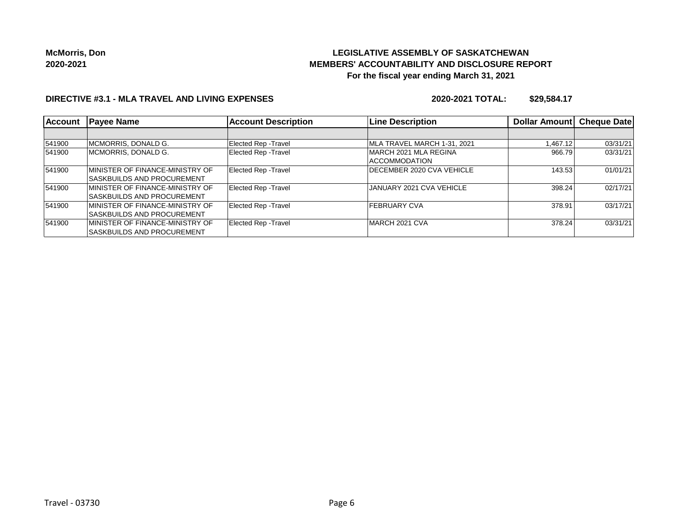# **LEGISLATIVE ASSEMBLY OF SASKATCHEWAN MEMBERS' ACCOUNTABILITY AND DISCLOSURE REPORT For the fiscal year ending March 31, 2021**

## **DIRECTIVE #3.1 - MLA TRAVEL AND LIVING EXPENSES**

**2020-2021 TOTAL: \$29,584.17**

| <b>Account</b> | <b>Payee Name</b>                                                            | <b>Account Description</b>  | <b>Line Description</b>                       | Dollar Amount | <b>Cheque Date</b> |
|----------------|------------------------------------------------------------------------------|-----------------------------|-----------------------------------------------|---------------|--------------------|
|                |                                                                              |                             |                                               |               |                    |
| 541900         | MCMORRIS, DONALD G.                                                          | <b>Elected Rep - Travel</b> | MLA TRAVEL MARCH 1-31, 2021                   | 1,467.12      | 03/31/21           |
| 541900         | MCMORRIS, DONALD G.                                                          | Elected Rep - Travel        | MARCH 2021 MLA REGINA<br><b>ACCOMMODATION</b> | 966.79        | 03/31/21           |
| 541900         | <b>IMINISTER OF FINANCE-MINISTRY OF</b><br><b>SASKBUILDS AND PROCUREMENT</b> | <b>Elected Rep - Travel</b> | <b>IDECEMBER 2020 CVA VEHICLE</b>             | 143.53        | 01/01/21           |
| 541900         | IMINISTER OF FINANCE-MINISTRY OF<br><b>SASKBUILDS AND PROCUREMENT</b>        | <b>Elected Rep - Travel</b> | JANUARY 2021 CVA VEHICLE                      | 398.24        | 02/17/21           |
| 541900         | IMINISTER OF FINANCE-MINISTRY OF<br>ISASKBUILDS AND PROCUREMENT              | Elected Rep - Travel        | <b>IFEBRUARY CVA</b>                          | 378.91        | 03/17/21           |
| 541900         | <b>IMINISTER OF FINANCE-MINISTRY OF</b><br><b>SASKBUILDS AND PROCUREMENT</b> | Elected Rep - Travel        | MARCH 2021 CVA                                | 378.24        | 03/31/21           |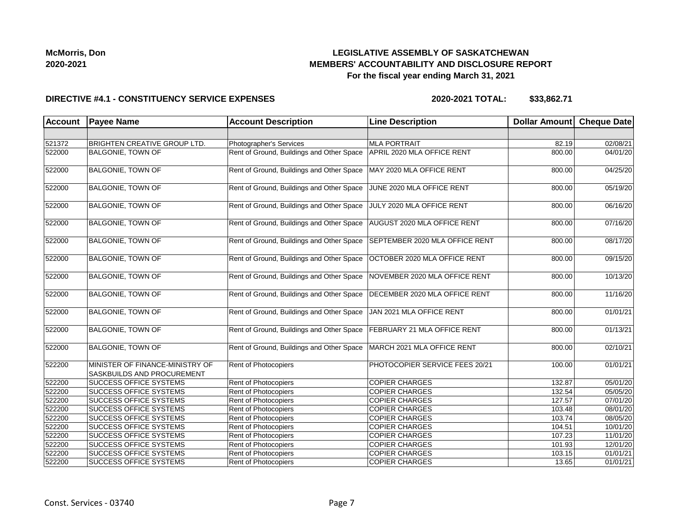## **LEGISLATIVE ASSEMBLY OF SASKATCHEWAN MEMBERS' ACCOUNTABILITY AND DISCLOSURE REPORT For the fiscal year ending March 31, 2021**

#### **DIRECTIVE #4.1 - CONSTITUENCY SERVICE EXPENSES**

| <b>Account</b> | <b>Payee Name</b>                                             | <b>Account Description</b>                | <b>Line Description</b>            | Dollar Amount | <b>Cheque Date</b> |
|----------------|---------------------------------------------------------------|-------------------------------------------|------------------------------------|---------------|--------------------|
|                |                                                               |                                           |                                    |               |                    |
| 521372         | <b>BRIGHTEN CREATIVE GROUP LTD.</b>                           | Photographer's Services                   | <b>MLA PORTRAIT</b>                | 82.19         | 02/08/21           |
| 522000         | <b>BALGONIE, TOWN OF</b>                                      | Rent of Ground, Buildings and Other Space | APRIL 2020 MLA OFFICE RENT         | 800.00        | 04/01/20           |
| 522000         | <b>BALGONIE, TOWN OF</b>                                      | Rent of Ground, Buildings and Other Space | MAY 2020 MLA OFFICE RENT           | 800.00        | 04/25/20           |
| 522000         | <b>BALGONIE, TOWN OF</b>                                      | Rent of Ground, Buildings and Other Space | JUNE 2020 MLA OFFICE RENT          | 800.00        | 05/19/20           |
| 522000         | <b>BALGONIE, TOWN OF</b>                                      | Rent of Ground, Buildings and Other Space | JULY 2020 MLA OFFICE RENT          | 800.00        | 06/16/20           |
| 522000         | <b>BALGONIE, TOWN OF</b>                                      | Rent of Ground, Buildings and Other Space | <b>AUGUST 2020 MLA OFFICE RENT</b> | 800.00        | 07/16/20           |
| 522000         | <b>BALGONIE, TOWN OF</b>                                      | Rent of Ground, Buildings and Other Space | SEPTEMBER 2020 MLA OFFICE RENT     | 800.00        | 08/17/20           |
| 522000         | <b>BALGONIE, TOWN OF</b>                                      | Rent of Ground, Buildings and Other Space | OCTOBER 2020 MLA OFFICE RENT       | 800.00        | 09/15/20           |
| 522000         | <b>BALGONIE, TOWN OF</b>                                      | Rent of Ground, Buildings and Other Space | NOVEMBER 2020 MLA OFFICE RENT      | 800.00        | 10/13/20           |
| 522000         | <b>BALGONIE, TOWN OF</b>                                      | Rent of Ground, Buildings and Other Space | DECEMBER 2020 MLA OFFICE RENT      | 800.00        | 11/16/20           |
| 522000         | <b>BALGONIE, TOWN OF</b>                                      | Rent of Ground, Buildings and Other Space | JAN 2021 MLA OFFICE RENT           | 800.00        | 01/01/21           |
| 522000         | <b>BALGONIE, TOWN OF</b>                                      | Rent of Ground, Buildings and Other Space | FEBRUARY 21 MLA OFFICE RENT        | 800.00        | 01/13/21           |
| 522000         | <b>BALGONIE, TOWN OF</b>                                      | Rent of Ground, Buildings and Other Space | MARCH 2021 MLA OFFICE RENT         | 800.00        | 02/10/21           |
| 522200         | MINISTER OF FINANCE-MINISTRY OF<br>SASKBUILDS AND PROCUREMENT | Rent of Photocopiers                      | PHOTOCOPIER SERVICE FEES 20/21     | 100.00        | 01/01/21           |
| 522200         | <b>SUCCESS OFFICE SYSTEMS</b>                                 | Rent of Photocopiers                      | <b>COPIER CHARGES</b>              | 132.87        | 05/01/20           |
| 522200         | <b>SUCCESS OFFICE SYSTEMS</b>                                 | Rent of Photocopiers                      | <b>COPIER CHARGES</b>              | 132.54        | 05/05/20           |
| 522200         | <b>SUCCESS OFFICE SYSTEMS</b>                                 | Rent of Photocopiers                      | <b>COPIER CHARGES</b>              | 127.57        | 07/01/20           |
| 522200         | <b>SUCCESS OFFICE SYSTEMS</b>                                 | Rent of Photocopiers                      | <b>COPIER CHARGES</b>              | 103.48        | 08/01/20           |
| 522200         | <b>SUCCESS OFFICE SYSTEMS</b>                                 | Rent of Photocopiers                      | <b>COPIER CHARGES</b>              | 103.74        | 08/05/20           |
| 522200         | <b>SUCCESS OFFICE SYSTEMS</b>                                 | Rent of Photocopiers                      | <b>COPIER CHARGES</b>              | 104.51        | 10/01/20           |
| 522200         | <b>SUCCESS OFFICE SYSTEMS</b>                                 | Rent of Photocopiers                      | <b>COPIER CHARGES</b>              | 107.23        | 11/01/20           |
| 522200         | SUCCESS OFFICE SYSTEMS                                        | Rent of Photocopiers                      | <b>COPIER CHARGES</b>              | 101.93        | 12/01/20           |
| 522200         | <b>SUCCESS OFFICE SYSTEMS</b>                                 | Rent of Photocopiers                      | <b>COPIER CHARGES</b>              | 103.15        | 01/01/21           |
| 522200         | <b>SUCCESS OFFICE SYSTEMS</b>                                 | <b>Rent of Photocopiers</b>               | <b>COPIER CHARGES</b>              | 13.65         | 01/01/21           |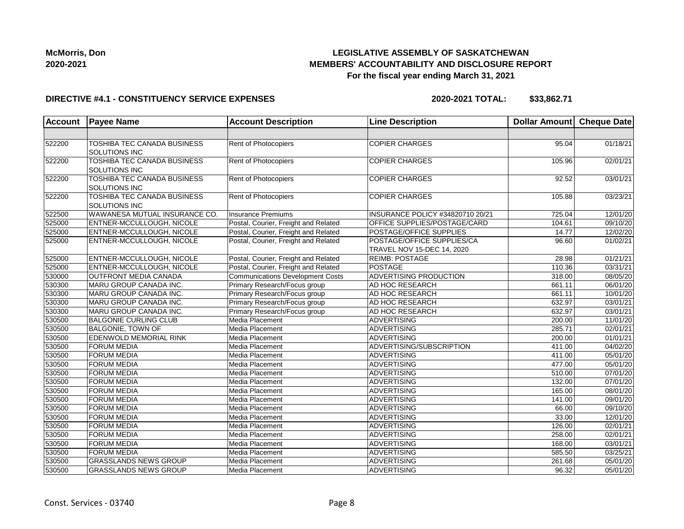

## **LEGISLATIVE ASSEMBLY OF SASKATCHEWAN MEMBERS' ACCOUNTABILITY AND DISCLOSURE REPORT For the fiscal year ending March 31, 2021**

#### **DIRECTIVE #4.1 - CONSTITUENCY SERVICE EXPENSES**

| <b>Account</b> | <b>Payee Name</b>                                   | <b>Account Description</b>           | <b>Line Description</b>                                  | Dollar Amount Cheque Date |          |
|----------------|-----------------------------------------------------|--------------------------------------|----------------------------------------------------------|---------------------------|----------|
|                |                                                     |                                      |                                                          |                           |          |
| 522200         | TOSHIBA TEC CANADA BUSINESS<br>SOLUTIONS INC        | Rent of Photocopiers                 | <b>COPIER CHARGES</b>                                    | 95.04                     | 01/18/21 |
| 522200         | TOSHIBA TEC CANADA BUSINESS<br><b>SOLUTIONS INC</b> | Rent of Photocopiers                 | <b>COPIER CHARGES</b>                                    | 105.96                    | 02/01/21 |
| 522200         | TOSHIBA TEC CANADA BUSINESS<br><b>SOLUTIONS INC</b> | Rent of Photocopiers                 | <b>COPIER CHARGES</b>                                    | 92.52                     | 03/01/21 |
| 522200         | TOSHIBA TEC CANADA BUSINESS<br>SOLUTIONS INC        | Rent of Photocopiers                 | <b>COPIER CHARGES</b>                                    | 105.88                    | 03/23/21 |
| 522500         | WAWANESA MUTUAL INSURANCE CO.                       | <b>Insurance Premiums</b>            | INSURANCE POLICY #34820710 20/21                         | 725.04                    | 12/01/20 |
| 525000         | <b>ENTNER-MCCULLOUGH, NICOLE</b>                    | Postal, Courier, Freight and Related | OFFICE SUPPLIES/POSTAGE/CARD                             | 104.61                    | 09/10/20 |
| 525000         | <b>ENTNER-MCCULLOUGH, NICOLE</b>                    | Postal, Courier, Freight and Related | POSTAGE/OFFICE SUPPLIES                                  | 14.77                     | 12/02/20 |
| 525000         | ENTNER-MCCULLOUGH, NICOLE                           | Postal, Courier, Freight and Related | POSTAGE/OFFICE SUPPLIES/CA<br>TRAVEL NOV 15-DEC 14, 2020 | 96.60                     | 01/02/21 |
| 525000         | <b>ENTNER-MCCULLOUGH, NICOLE</b>                    | Postal, Courier, Freight and Related | <b>REIMB: POSTAGE</b>                                    | 28.98                     | 01/21/21 |
| 525000         | ENTNER-MCCULLOUGH, NICOLE                           | Postal, Courier, Freight and Related | POSTAGE                                                  | 110.36                    | 03/31/21 |
| 530000         | OUTFRONT MEDIA CANADA                               | Communications Development Costs     | ADVERTISING PRODUCTION                                   | 318.00                    | 08/05/20 |
| 530300         | MARU GROUP CANADA INC.                              | Primary Research/Focus group         | AD HOC RESEARCH                                          | 661.11                    | 06/01/20 |
| 530300         | MARU GROUP CANADA INC.                              | Primary Research/Focus group         | AD HOC RESEARCH                                          | 661.11                    | 10/01/20 |
| 530300         | MARU GROUP CANADA INC.                              | Primary Research/Focus group         | AD HOC RESEARCH                                          | 632.97                    | 03/01/21 |
| 530300         | MARU GROUP CANADA INC.                              | Primary Research/Focus group         | AD HOC RESEARCH                                          | 632.97                    | 03/01/21 |
| 530500         | <b>BALGONIE CURLING CLUB</b>                        | Media Placement                      | ADVERTISING                                              | 200.00                    | 11/01/20 |
| 530500         | <b>BALGONIE, TOWN OF</b>                            | Media Placement                      | <b>ADVERTISING</b>                                       | 285.71                    | 02/01/21 |
| 530500         | EDENWOLD MEMORIAL RINK                              | Media Placement                      | <b>ADVERTISING</b>                                       | 200.00                    | 01/01/21 |
| 530500         | <b>FORUM MEDIA</b>                                  | Media Placement                      | ADVERTISING/SUBSCRIPTION                                 | 411.00                    | 04/02/20 |
| 530500         | <b>FORUM MEDIA</b>                                  | Media Placement                      | <b>ADVERTISING</b>                                       | 411.00                    | 05/01/20 |
| 530500         | <b>FORUM MEDIA</b>                                  | Media Placement                      | ADVERTISING                                              | 477.00                    | 05/01/20 |
| 530500         | <b>FORUM MEDIA</b>                                  | Media Placement                      | ADVERTISING                                              | 510.00                    | 07/01/20 |
| 530500         | <b>FORUM MEDIA</b>                                  | Media Placement                      | <b>ADVERTISING</b>                                       | 132.00                    | 07/01/20 |
| 530500         | <b>FORUM MEDIA</b>                                  | Media Placement                      | <b>ADVERTISING</b>                                       | 165.00                    | 08/01/20 |
| 530500         | <b>FORUM MEDIA</b>                                  | Media Placement                      | <b>ADVERTISING</b>                                       | 141.00                    | 09/01/20 |
| 530500         | <b>FORUM MEDIA</b>                                  | Media Placement                      | <b>ADVERTISING</b>                                       | 66.00                     | 09/10/20 |
| 530500         | <b>FORUM MEDIA</b>                                  | Media Placement                      | ADVERTISING                                              | 33.00                     | 12/01/20 |
| 530500         | <b>FORUM MEDIA</b>                                  | Media Placement                      | <b>ADVERTISING</b>                                       | 126.00                    | 02/01/21 |
| 530500         | <b>FORUM MEDIA</b>                                  | Media Placement                      | <b>ADVERTISING</b>                                       | 258.00                    | 02/01/21 |
| 530500         | <b>FORUM MEDIA</b>                                  | Media Placement                      | ADVERTISING                                              | 168.00                    | 03/01/21 |
| 530500         | <b>FORUM MEDIA</b>                                  | Media Placement                      | <b>ADVERTISING</b>                                       | 585.50                    | 03/25/21 |
| 530500         | <b>GRASSLANDS NEWS GROUP</b>                        | Media Placement                      | <b>ADVERTISING</b>                                       | 261.68                    | 05/01/20 |
| 530500         | <b>GRASSLANDS NEWS GROUP</b>                        | Media Placement                      | ADVERTISING                                              | 96.32                     | 05/01/20 |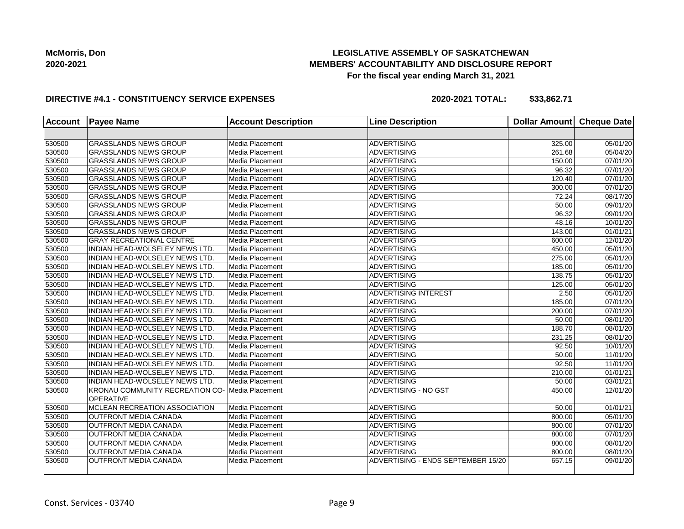## **LEGISLATIVE ASSEMBLY OF SASKATCHEWAN MEMBERS' ACCOUNTABILITY AND DISCLOSURE REPORT For the fiscal year ending March 31, 2021**

## **DIRECTIVE #4.1 - CONSTITUENCY SERVICE EXPENSES**

| <b>Account</b> | <b>Payee Name</b>                                   | <b>Account Description</b> | <b>Line Description</b>            | <b>Dollar Amount</b> | <b>Cheque Date</b> |
|----------------|-----------------------------------------------------|----------------------------|------------------------------------|----------------------|--------------------|
|                |                                                     |                            |                                    |                      |                    |
| 530500         | <b>GRASSLANDS NEWS GROUP</b>                        | Media Placement            | <b>ADVERTISING</b>                 | 325.00               | 05/01/20           |
| 530500         | <b>GRASSLANDS NEWS GROUP</b>                        | Media Placement            | ADVERTISING                        | 261.68               | 05/04/20           |
| 530500         | <b>GRASSLANDS NEWS GROUP</b>                        | Media Placement            | <b>ADVERTISING</b>                 | 150.00               | 07/01/20           |
| 530500         | <b>GRASSLANDS NEWS GROUP</b>                        | Media Placement            | <b>ADVERTISING</b>                 | 96.32                | 07/01/20           |
| 530500         | <b>GRASSLANDS NEWS GROUP</b>                        | Media Placement            | <b>ADVERTISING</b>                 | 120.40               | 07/01/20           |
| 530500         | <b>GRASSLANDS NEWS GROUP</b>                        | Media Placement            | <b>ADVERTISING</b>                 | 300.00               | 07/01/20           |
| 530500         | <b>GRASSLANDS NEWS GROUP</b>                        | Media Placement            | <b>ADVERTISING</b>                 | 72.24                | 08/17/20           |
| 530500         | <b>GRASSLANDS NEWS GROUP</b>                        | Media Placement            | ADVERTISING                        | 50.00                | 09/01/20           |
| 530500         | <b>GRASSLANDS NEWS GROUP</b>                        | Media Placement            | ADVERTISING                        | 96.32                | 09/01/20           |
| 530500         | <b>GRASSLANDS NEWS GROUP</b>                        | Media Placement            | ADVERTISING                        | 48.16                | 10/01/20           |
| 530500         | <b>GRASSLANDS NEWS GROUP</b>                        | Media Placement            | ADVERTISING                        | 143.00               | 01/01/21           |
| 530500         | <b>GRAY RECREATIONAL CENTRE</b>                     | Media Placement            | <b>ADVERTISING</b>                 | 600.00               | 12/01/20           |
| 530500         | INDIAN HEAD-WOLSELEY NEWS LTD.                      | Media Placement            | <b>ADVERTISING</b>                 | 450.00               | 05/01/20           |
| 530500         | INDIAN HEAD-WOLSELEY NEWS LTD.                      | Media Placement            | <b>ADVERTISING</b>                 | 275.00               | 05/01/20           |
| 530500         | INDIAN HEAD-WOLSELEY NEWS LTD.                      | Media Placement            | <b>ADVERTISING</b>                 | 185.00               | 05/01/20           |
| 530500         | INDIAN HEAD-WOLSELEY NEWS LTD.                      | Media Placement            | ADVERTISING                        | 138.75               | 05/01/20           |
| 530500         | INDIAN HEAD-WOLSELEY NEWS LTD.                      | Media Placement            | <b>ADVERTISING</b>                 | 125.00               | 05/01/20           |
| 530500         | INDIAN HEAD-WOLSELEY NEWS LTD.                      | Media Placement            | <b>ADVERTISING INTEREST</b>        | 2.50                 | 05/01/20           |
| 530500         | INDIAN HEAD-WOLSELEY NEWS LTD.                      | Media Placement            | <b>ADVERTISING</b>                 | 185.00               | 07/01/20           |
| 530500         | INDIAN HEAD-WOLSELEY NEWS LTD.                      | Media Placement            | ADVERTISING                        | 200.00               | 07/01/20           |
| 530500         | INDIAN HEAD-WOLSELEY NEWS LTD.                      | Media Placement            | ADVERTISING                        | 50.00                | 08/01/20           |
| 530500         | INDIAN HEAD-WOLSELEY NEWS LTD.                      | Media Placement            | ADVERTISING                        | 188.70               | 08/01/20           |
| 530500         | INDIAN HEAD-WOLSELEY NEWS LTD.                      | Media Placement            | <b>ADVERTISING</b>                 | 231.25               | 08/01/20           |
| 530500         | INDIAN HEAD-WOLSELEY NEWS LTD.                      | Media Placement            | <b>ADVERTISING</b>                 | 92.50                | 10/01/20           |
| 530500         | INDIAN HEAD-WOLSELEY NEWS LTD.                      | Media Placement            | <b>ADVERTISING</b>                 | 50.00                | 11/01/20           |
| 530500         | INDIAN HEAD-WOLSELEY NEWS LTD.                      | Media Placement            | ADVERTISING                        | 92.50                | 11/01/20           |
| 530500         | INDIAN HEAD-WOLSELEY NEWS LTD.                      | Media Placement            | ADVERTISING                        | 210.00               | 01/01/21           |
| 530500         | INDIAN HEAD-WOLSELEY NEWS LTD.                      | Media Placement            | <b>ADVERTISING</b>                 | 50.00                | 03/01/21           |
| 530500         | KRONAU COMMUNITY RECREATION CO-<br><b>OPERATIVE</b> | Media Placement            | ADVERTISING - NO GST               | 450.00               | 12/01/20           |
| 530500         | MCLEAN RECREATION ASSOCIATION                       | Media Placement            | <b>ADVERTISING</b>                 | 50.00                | 01/01/21           |
| 530500         | OUTFRONT MEDIA CANADA                               | Media Placement            | ADVERTISING                        | 800.00               | 05/01/20           |
| 530500         | <b>OUTFRONT MEDIA CANADA</b>                        | Media Placement            | ADVERTISING                        | 800.00               | 07/01/20           |
| 530500         | <b>OUTFRONT MEDIA CANADA</b>                        | Media Placement            | <b>ADVERTISING</b>                 | 800.00               | 07/01/20           |
| 530500         | <b>OUTFRONT MEDIA CANADA</b>                        | Media Placement            | <b>ADVERTISING</b>                 | 800.00               | 08/01/20           |
| 530500         | <b>OUTFRONT MEDIA CANADA</b>                        | Media Placement            | <b>ADVERTISING</b>                 | 800.00               | 08/01/20           |
| 530500         | OUTFRONT MEDIA CANADA                               | Media Placement            | ADVERTISING - ENDS SEPTEMBER 15/20 | 657.15               | 09/01/20           |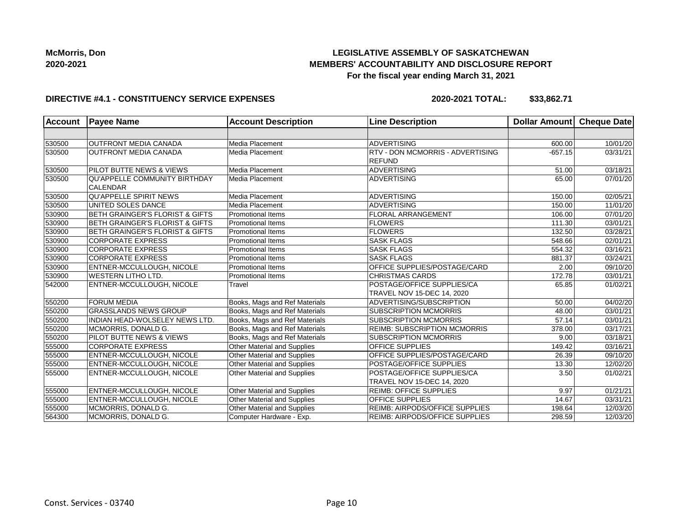

## **LEGISLATIVE ASSEMBLY OF SASKATCHEWAN MEMBERS' ACCOUNTABILITY AND DISCLOSURE REPORT For the fiscal year ending March 31, 2021**

#### **DIRECTIVE #4.1 - CONSTITUENCY SERVICE EXPENSES**

| <b>Account</b> | <b>Payee Name</b>                          | <b>Account Description</b>         | <b>Line Description</b>             | Dollar Amount | <b>Cheque Date</b> |
|----------------|--------------------------------------------|------------------------------------|-------------------------------------|---------------|--------------------|
|                |                                            |                                    |                                     |               |                    |
| 530500         | <b>OUTFRONT MEDIA CANADA</b>               | Media Placement                    | <b>ADVERTISING</b>                  | 600.00        | 10/01/20           |
| 530500         | <b>OUTFRONT MEDIA CANADA</b>               | Media Placement                    | RTV - DON MCMORRIS - ADVERTISING    | $-657.15$     | 03/31/21           |
|                |                                            |                                    | <b>REFUND</b>                       |               |                    |
| 530500         | PILOT BUTTE NEWS & VIEWS                   | Media Placement                    | <b>ADVERTISING</b>                  | 51.00         | 03/18/21           |
| 530500         | QU'APPELLE COMMUNITY BIRTHDAY              | Media Placement                    | <b>ADVERTISING</b>                  | 65.00         | 07/01/20           |
|                | <b>CALENDAR</b>                            |                                    |                                     |               |                    |
| 530500         | <b>QU'APPELLE SPIRIT NEWS</b>              | Media Placement                    | <b>ADVERTISING</b>                  | 150.00        | 02/05/21           |
| 530500         | UNITED SOLES DANCE                         | Media Placement                    | <b>ADVERTISING</b>                  | 150.00        | 11/01/20           |
| 530900         | BETH GRAINGER'S FLORIST & GIFTS            | <b>Promotional Items</b>           | <b>FLORAL ARRANGEMENT</b>           | 106.00        | 07/01/20           |
| 530900         | BETH GRAINGER'S FLORIST & GIFTS            | <b>Promotional Items</b>           | <b>FLOWERS</b>                      | 111.30        | 03/01/21           |
| 530900         | <b>BETH GRAINGER'S FLORIST &amp; GIFTS</b> | <b>Promotional Items</b>           | <b>FLOWERS</b>                      | 132.50        | 03/28/21           |
| 530900         | <b>CORPORATE EXPRESS</b>                   | <b>Promotional Items</b>           | <b>SASK FLAGS</b>                   | 548.66        | 02/01/21           |
| 530900         | <b>CORPORATE EXPRESS</b>                   | <b>Promotional Items</b>           | <b>SASK FLAGS</b>                   | 554.32        | 03/16/21           |
| 530900         | <b>CORPORATE EXPRESS</b>                   | <b>Promotional Items</b>           | <b>SASK FLAGS</b>                   | 881.37        | 03/24/21           |
| 530900         | <b>ENTNER-MCCULLOUGH, NICOLE</b>           | <b>Promotional Items</b>           | OFFICE SUPPLIES/POSTAGE/CARD        | 2.00          | 09/10/20           |
| 530900         | <b>WESTERN LITHO LTD.</b>                  | <b>Promotional Items</b>           | <b>CHRISTMAS CARDS</b>              | 172.78        | 03/01/21           |
| 542000         | ENTNER-MCCULLOUGH, NICOLE                  | Travel                             | POSTAGE/OFFICE SUPPLIES/CA          | 65.85         | 01/02/21           |
|                |                                            |                                    | TRAVEL NOV 15-DEC 14, 2020          |               |                    |
| 550200         | <b>FORUM MEDIA</b>                         | Books, Mags and Ref Materials      | ADVERTISING/SUBSCRIPTION            | 50.00         | 04/02/20           |
| 550200         | <b>GRASSLANDS NEWS GROUP</b>               | Books, Mags and Ref Materials      | <b>SUBSCRIPTION MCMORRIS</b>        | 48.00         | 03/01/21           |
| 550200         | INDIAN HEAD-WOLSELEY NEWS LTD.             | Books, Mags and Ref Materials      | <b>SUBSCRIPTION MCMORRIS</b>        | 57.14         | 03/01/21           |
| 550200         | MCMORRIS, DONALD G.                        | Books, Mags and Ref Materials      | <b>REIMB: SUBSCRIPTION MCMORRIS</b> | 378.00        | 03/17/21           |
| 550200         | PILOT BUTTE NEWS & VIEWS                   | Books, Mags and Ref Materials      | <b>SUBSCRIPTION MCMORRIS</b>        | 9.00          | 03/18/21           |
| 555000         | <b>CORPORATE EXPRESS</b>                   | Other Material and Supplies        | OFFICE SUPPLIES                     | 149.42        | 03/16/21           |
| 555000         | <b>ENTNER-MCCULLOUGH, NICOLE</b>           | Other Material and Supplies        | OFFICE SUPPLIES/POSTAGE/CARD        | 26.39         | 09/10/20           |
| 555000         | ENTNER-MCCULLOUGH, NICOLE                  | Other Material and Supplies        | POSTAGE/OFFICE SUPPLIES             | 13.30         | 12/02/20           |
| 555000         | ENTNER-MCCULLOUGH, NICOLE                  | <b>Other Material and Supplies</b> | POSTAGE/OFFICE SUPPLIES/CA          | 3.50          | 01/02/21           |
|                |                                            |                                    | TRAVEL NOV 15-DEC 14, 2020          |               |                    |
| 555000         | ENTNER-MCCULLOUGH, NICOLE                  | Other Material and Supplies        | <b>REIMB: OFFICE SUPPLIES</b>       | 9.97          | 01/21/21           |
| 555000         | ENTNER-MCCULLOUGH, NICOLE                  | Other Material and Supplies        | OFFICE SUPPLIES                     | 14.67         | 03/31/21           |
| 555000         | MCMORRIS, DONALD G.                        | Other Material and Supplies        | REIMB: AIRPODS/OFFICE SUPPLIES      | 198.64        | 12/03/20           |
| 564300         | MCMORRIS, DONALD G.                        | Computer Hardware - Exp.           | REIMB: AIRPODS/OFFICE SUPPLIES      | 298.59        | 12/03/20           |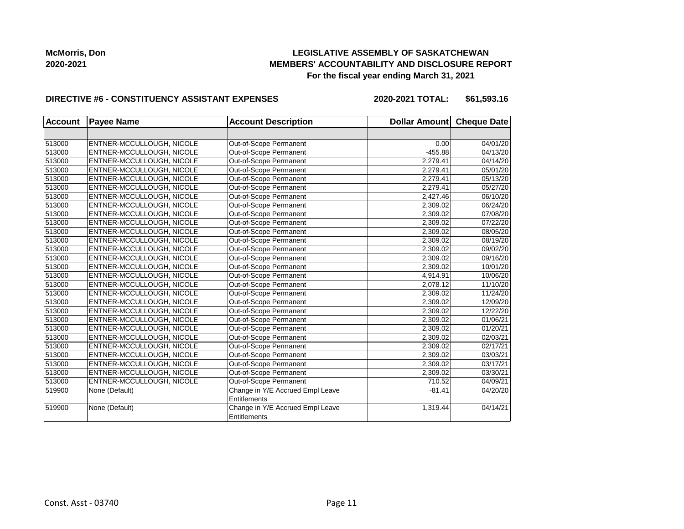## **LEGISLATIVE ASSEMBLY OF SASKATCHEWAN MEMBERS' ACCOUNTABILITY AND DISCLOSURE REPORT For the fiscal year ending March 31, 2021**

#### **DIRECTIVE #6 - CONSTITUENCY ASSISTANT EXPENSES**

**2020-2021 TOTAL: \$61,593.16**

| <b>Account</b> | <b>Payee Name</b>                | <b>Account Description</b>       | Dollar Amount Cheque Date |          |
|----------------|----------------------------------|----------------------------------|---------------------------|----------|
|                |                                  |                                  |                           |          |
| 513000         | ENTNER-MCCULLOUGH, NICOLE        | Out-of-Scope Permanent           | 0.00                      | 04/01/20 |
| 513000         | ENTNER-MCCULLOUGH, NICOLE        | Out-of-Scope Permanent           | $-455.88$                 | 04/13/20 |
| 513000         | ENTNER-MCCULLOUGH, NICOLE        | Out-of-Scope Permanent           | 2,279.41                  | 04/14/20 |
| 513000         | ENTNER-MCCULLOUGH, NICOLE        | Out-of-Scope Permanent           | 2,279.41                  | 05/01/20 |
| 513000         | <b>ENTNER-MCCULLOUGH, NICOLE</b> | Out-of-Scope Permanent           | 2,279.41                  | 05/13/20 |
| 513000         | <b>ENTNER-MCCULLOUGH, NICOLE</b> | Out-of-Scope Permanent           | 2,279.41                  | 05/27/20 |
| 513000         | ENTNER-MCCULLOUGH, NICOLE        | Out-of-Scope Permanent           | 2,427.46                  | 06/10/20 |
| 513000         | <b>ENTNER-MCCULLOUGH, NICOLE</b> | Out-of-Scope Permanent           | 2,309.02                  | 06/24/20 |
| 513000         | ENTNER-MCCULLOUGH, NICOLE        | Out-of-Scope Permanent           | 2,309.02                  | 07/08/20 |
| 513000         | ENTNER-MCCULLOUGH, NICOLE        | Out-of-Scope Permanent           | 2,309.02                  | 07/22/20 |
| 513000         | ENTNER-MCCULLOUGH, NICOLE        | Out-of-Scope Permanent           | 2,309.02                  | 08/05/20 |
| 513000         | <b>ENTNER-MCCULLOUGH, NICOLE</b> | Out-of-Scope Permanent           | 2,309.02                  | 08/19/20 |
| 513000         | ENTNER-MCCULLOUGH, NICOLE        | Out-of-Scope Permanent           | 2,309.02                  | 09/02/20 |
| 513000         | ENTNER-MCCULLOUGH, NICOLE        | Out-of-Scope Permanent           | 2,309.02                  | 09/16/20 |
| 513000         | <b>ENTNER-MCCULLOUGH, NICOLE</b> | Out-of-Scope Permanent           | 2,309.02                  | 10/01/20 |
| 513000         | <b>ENTNER-MCCULLOUGH, NICOLE</b> | Out-of-Scope Permanent           | 4,914.91                  | 10/06/20 |
| 513000         | ENTNER-MCCULLOUGH, NICOLE        | Out-of-Scope Permanent           | 2,078.12                  | 11/10/20 |
| 513000         | ENTNER-MCCULLOUGH, NICOLE        | Out-of-Scope Permanent           | 2,309.02                  | 11/24/20 |
| 513000         | ENTNER-MCCULLOUGH, NICOLE        | Out-of-Scope Permanent           | 2,309.02                  | 12/09/20 |
| 513000         | <b>ENTNER-MCCULLOUGH, NICOLE</b> | Out-of-Scope Permanent           | 2,309.02                  | 12/22/20 |
| 513000         | <b>ENTNER-MCCULLOUGH, NICOLE</b> | Out-of-Scope Permanent           | 2,309.02                  | 01/06/21 |
| 513000         | <b>ENTNER-MCCULLOUGH, NICOLE</b> | Out-of-Scope Permanent           | 2,309.02                  | 01/20/21 |
| 513000         | ENTNER-MCCULLOUGH, NICOLE        | Out-of-Scope Permanent           | 2,309.02                  | 02/03/21 |
| 513000         | ENTNER-MCCULLOUGH, NICOLE        | Out-of-Scope Permanent           | 2,309.02                  | 02/17/21 |
| 513000         | ENTNER-MCCULLOUGH, NICOLE        | Out-of-Scope Permanent           | 2,309.02                  | 03/03/21 |
| 513000         | ENTNER-MCCULLOUGH, NICOLE        | Out-of-Scope Permanent           | 2,309.02                  | 03/17/21 |
| 513000         | <b>ENTNER-MCCULLOUGH, NICOLE</b> | Out-of-Scope Permanent           | 2,309.02                  | 03/30/21 |
| 513000         | ENTNER-MCCULLOUGH, NICOLE        | Out-of-Scope Permanent           | 710.52                    | 04/09/21 |
| 519900         | None (Default)                   | Change in Y/E Accrued Empl Leave | $-81.41$                  | 04/20/20 |
|                |                                  | Entitlements                     |                           |          |
| 519900         | None (Default)                   | Change in Y/E Accrued Empl Leave | 1,319.44                  | 04/14/21 |
|                |                                  | Entitlements                     |                           |          |